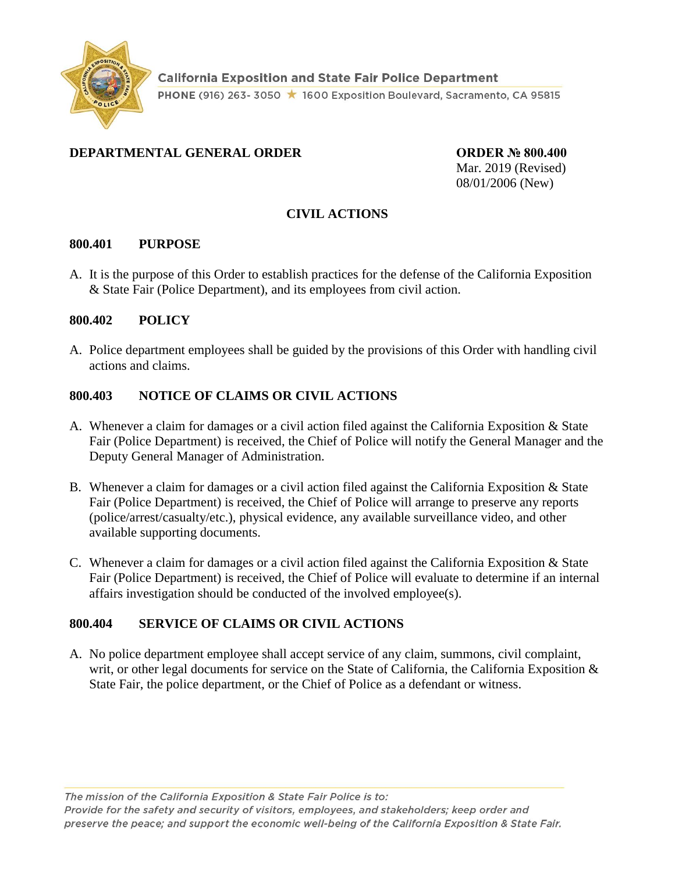

# **DEPARTMENTAL GENERAL ORDER CORDER © 800.400**

Mar. 2019 (Revised) 08/01/2006 (New)

# **CIVIL ACTIONS**

#### **800.401 PURPOSE**

A. It is the purpose of this Order to establish practices for the defense of the California Exposition & State Fair (Police Department), and its employees from civil action.

#### **800.402 POLICY**

A. Police department employees shall be guided by the provisions of this Order with handling civil actions and claims.

### **800.403 NOTICE OF CLAIMS OR CIVIL ACTIONS**

- A. Whenever a claim for damages or a civil action filed against the California Exposition & State Fair (Police Department) is received, the Chief of Police will notify the General Manager and the Deputy General Manager of Administration.
- B. Whenever a claim for damages or a civil action filed against the California Exposition & State Fair (Police Department) is received, the Chief of Police will arrange to preserve any reports (police/arrest/casualty/etc.), physical evidence, any available surveillance video, and other available supporting documents.
- C. Whenever a claim for damages or a civil action filed against the California Exposition & State Fair (Police Department) is received, the Chief of Police will evaluate to determine if an internal affairs investigation should be conducted of the involved employee(s).

### **800.404 SERVICE OF CLAIMS OR CIVIL ACTIONS**

A. No police department employee shall accept service of any claim, summons, civil complaint, writ, or other legal documents for service on the State of California, the California Exposition & State Fair, the police department, or the Chief of Police as a defendant or witness.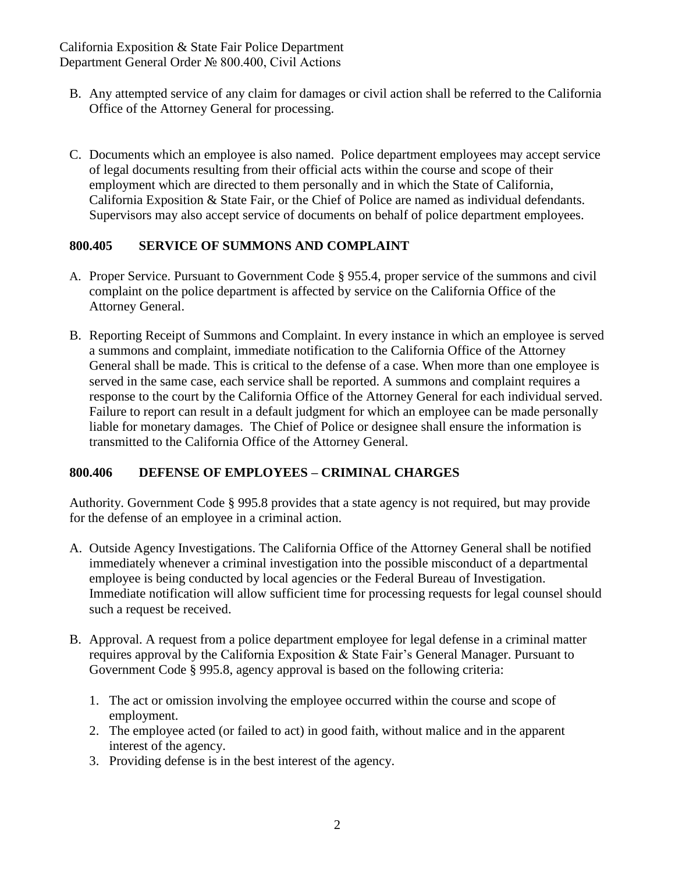- B. Any attempted service of any claim for damages or civil action shall be referred to the California Office of the Attorney General for processing.
- C. Documents which an employee is also named. Police department employees may accept service of legal documents resulting from their official acts within the course and scope of their employment which are directed to them personally and in which the State of California, California Exposition & State Fair, or the Chief of Police are named as individual defendants. Supervisors may also accept service of documents on behalf of police department employees.

# **800.405 SERVICE OF SUMMONS AND COMPLAINT**

- A. Proper Service. Pursuant to Government Code § 955.4, proper service of the summons and civil complaint on the police department is affected by service on the California Office of the Attorney General.
- B. Reporting Receipt of Summons and Complaint. In every instance in which an employee is served a summons and complaint, immediate notification to the California Office of the Attorney General shall be made. This is critical to the defense of a case. When more than one employee is served in the same case, each service shall be reported. A summons and complaint requires a response to the court by the California Office of the Attorney General for each individual served. Failure to report can result in a default judgment for which an employee can be made personally liable for monetary damages. The Chief of Police or designee shall ensure the information is transmitted to the California Office of the Attorney General.

# **800.406 DEFENSE OF EMPLOYEES – CRIMINAL CHARGES**

Authority. Government Code § 995.8 provides that a state agency is not required, but may provide for the defense of an employee in a criminal action.

- A. Outside Agency Investigations. The California Office of the Attorney General shall be notified immediately whenever a criminal investigation into the possible misconduct of a departmental employee is being conducted by local agencies or the Federal Bureau of Investigation. Immediate notification will allow sufficient time for processing requests for legal counsel should such a request be received.
- B. Approval. A request from a police department employee for legal defense in a criminal matter requires approval by the California Exposition & State Fair's General Manager. Pursuant to Government Code § 995.8, agency approval is based on the following criteria:
	- 1. The act or omission involving the employee occurred within the course and scope of employment.
	- 2. The employee acted (or failed to act) in good faith, without malice and in the apparent interest of the agency.
	- 3. Providing defense is in the best interest of the agency.